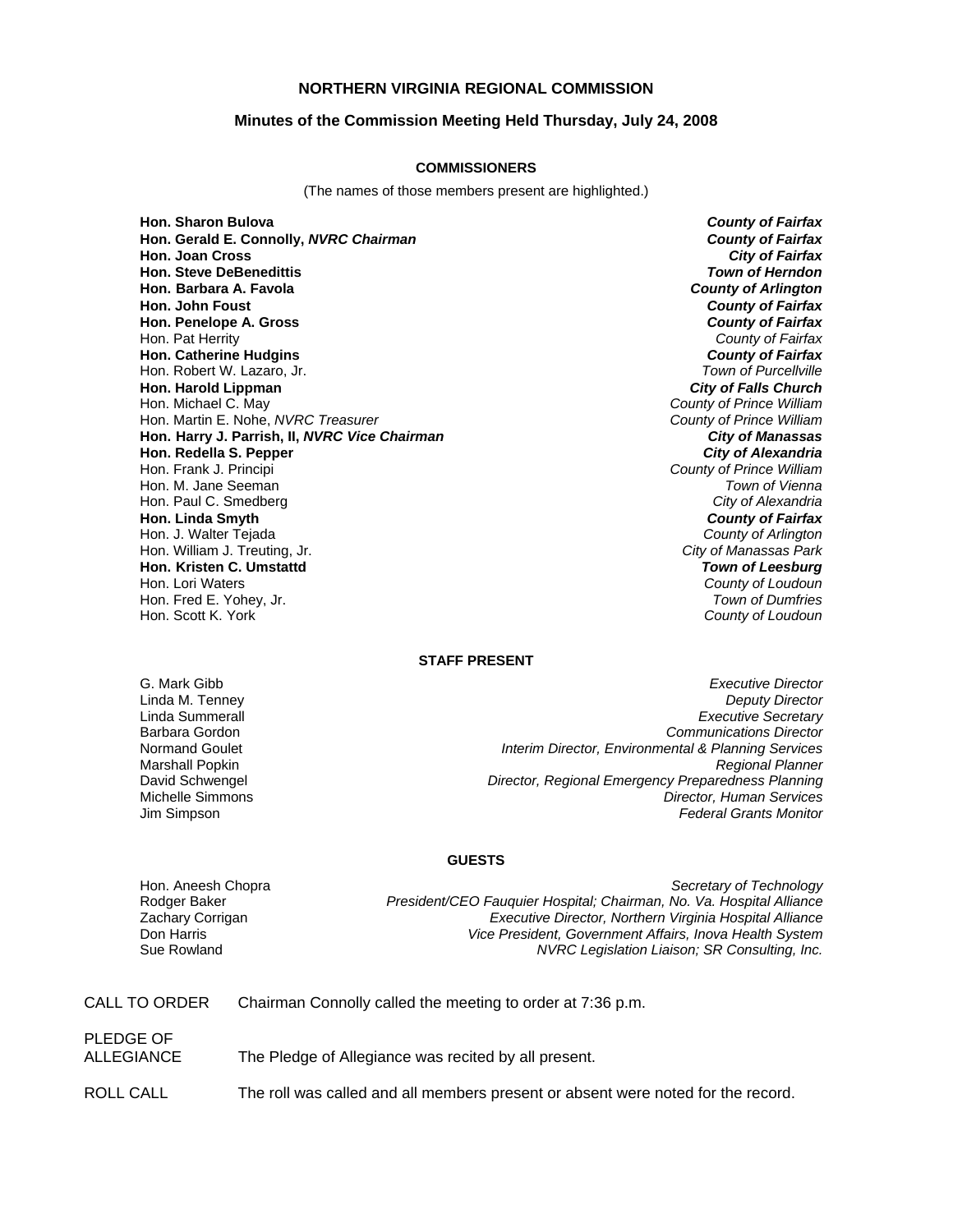## **NORTHERN VIRGINIA REGIONAL COMMISSION**

#### **Minutes of the Commission Meeting Held Thursday, July 24, 2008**

#### **COMMISSIONERS**

(The names of those members present are highlighted.)

**Hon. Sharon Bulova** *County of Fairfax* **Hon. Gerald E. Connolly,** *NVRC Chairman County of Fairfax* **Hon. Joan Cross Hon. Steve DeBenedittis** *Town of Herndon* **Hon. Barbara A. Favola** *County of Arlington* **Hon. John Foust** *County of Fairfax* **Hon. Penelope A. Gross** Hon. Pat Herrity *County of Fairfax* **Hon. Catherine Hudgins** *County of Fairfax* Hon. Robert W. Lazaro, Jr. **Hon. Harold Lippman** *City of Falls Church* Hon. Martin E. Nohe, *NVRC Treasurer County of Prince William* **Hon. Harry J. Parrish, II,** *NVRC Vice Chairman* **Hon. Redella S. Pepper** *City of Alexandria* Hon. Frank J. Principi *County of Prince William* Hon. M. Jane Seeman *Town of Vienna* Hon. Paul C. Smedberg *City of Alexandria* **Hon. Linda Smyth** *County of Fairfax* Hon. J. Walter Tejada *County of Arlington* Hon. William J. Treuting, Jr. *City of Manassas Park* **Hon. Kristen C. Umstattd** *Town of Leesburg* Hon. Lori Waters *County of Loudoun* Hon. Fred E. Yohey, Jr.

**County of Prince William**<br>County of Prince William Hon. Scott K. York *County of Loudoun*

## **STAFF PRESENT**

G. Mark Gibb *Executive Director* **Deputy Director** Linda Summerall *Executive Secretary* Barbara Gordon *Communications Director* Normand Goulet *Interim Director, Environmental & Planning Services* Marshall Popkin *Regional Planner* **Director, Regional Emergency Preparedness Planning** Michelle Simmons *Director, Human Services* Jim Simpson *Federal Grants Monitor*

#### **GUESTS**

Hon. Aneesh Chopra *Secretary of Technology* Rodger Baker *President/CEO Fauquier Hospital; Chairman, No. Va. Hospital Alliance* Zachary Corrigan *Executive Director, Northern Virginia Hospital Alliance* Don Harris *Vice President, Government Affairs, Inova Health System* **NVRC Legislation Liaison; SR Consulting, Inc.** 

| CALL TO ORDER |  | Chairman Connolly called the meeting to order at 7:36 p.m. |
|---------------|--|------------------------------------------------------------|
|               |  |                                                            |

## PLEDGE OF

ALLEGIANCE The Pledge of Allegiance was recited by all present.

ROLL CALL The roll was called and all members present or absent were noted for the record.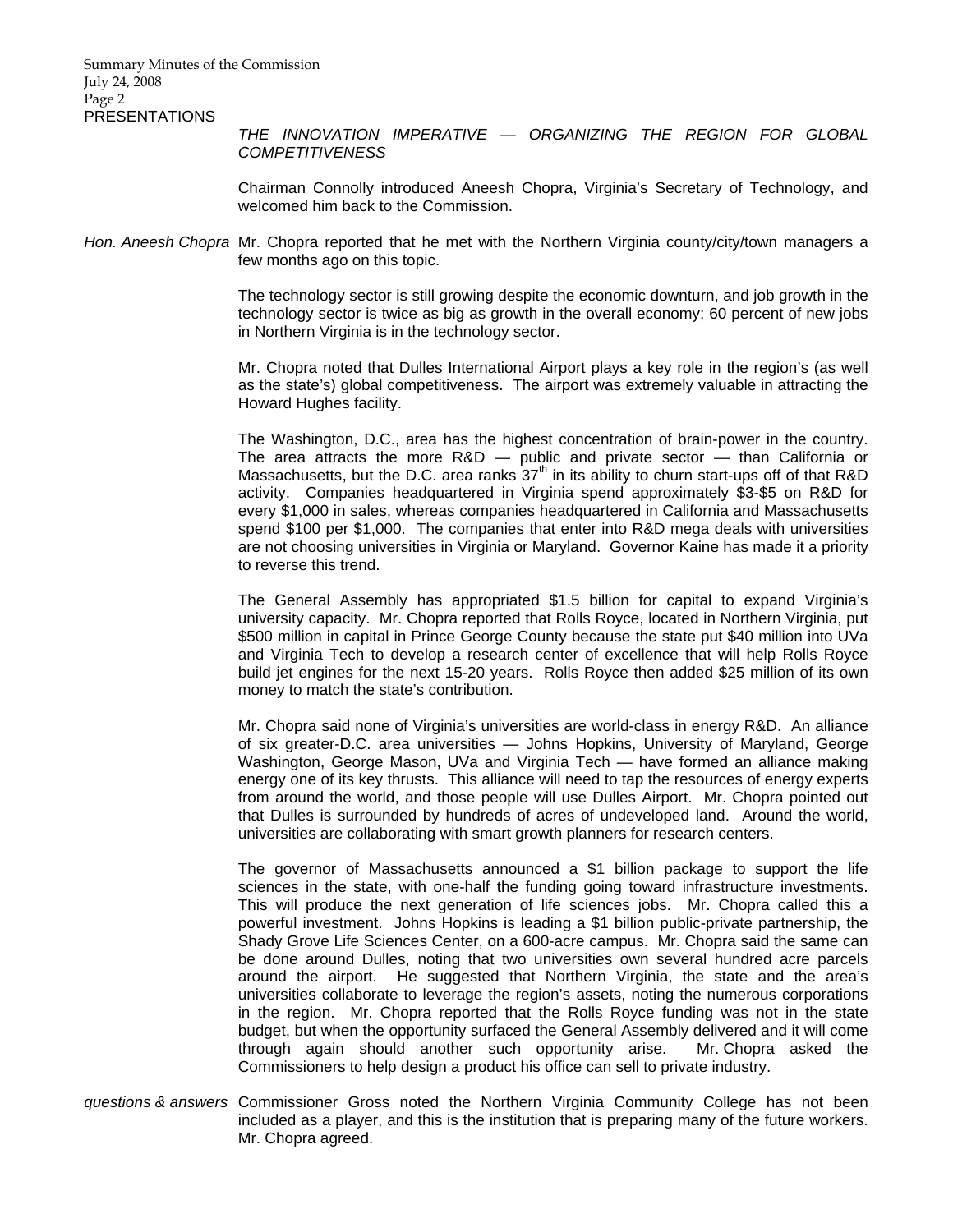*THE INNOVATION IMPERATIVE — ORGANIZING THE REGION FOR GLOBAL COMPETITIVENESS*

Chairman Connolly introduced Aneesh Chopra, Virginia's Secretary of Technology, and welcomed him back to the Commission.

*Hon. Aneesh Chopra* Mr. Chopra reported that he met with the Northern Virginia county/city/town managers a few months ago on this topic.

> The technology sector is still growing despite the economic downturn, and job growth in the technology sector is twice as big as growth in the overall economy; 60 percent of new jobs in Northern Virginia is in the technology sector.

> Mr. Chopra noted that Dulles International Airport plays a key role in the region's (as well as the state's) global competitiveness. The airport was extremely valuable in attracting the Howard Hughes facility.

> The Washington, D.C., area has the highest concentration of brain-power in the country. The area attracts the more  $R&D$  — public and private sector — than California or Massachusetts, but the D.C. area ranks  $37<sup>th</sup>$  in its ability to churn start-ups off of that R&D activity. Companies headquartered in Virginia spend approximately \$3-\$5 on R&D for every \$1,000 in sales, whereas companies headquartered in California and Massachusetts spend \$100 per \$1,000. The companies that enter into R&D mega deals with universities are not choosing universities in Virginia or Maryland. Governor Kaine has made it a priority to reverse this trend.

> The General Assembly has appropriated \$1.5 billion for capital to expand Virginia's university capacity. Mr. Chopra reported that Rolls Royce, located in Northern Virginia, put \$500 million in capital in Prince George County because the state put \$40 million into UVa and Virginia Tech to develop a research center of excellence that will help Rolls Royce build jet engines for the next 15-20 years. Rolls Royce then added \$25 million of its own money to match the state's contribution.

> Mr. Chopra said none of Virginia's universities are world-class in energy R&D. An alliance of six greater-D.C. area universities — Johns Hopkins, University of Maryland, George Washington, George Mason, UVa and Virginia Tech — have formed an alliance making energy one of its key thrusts. This alliance will need to tap the resources of energy experts from around the world, and those people will use Dulles Airport. Mr. Chopra pointed out that Dulles is surrounded by hundreds of acres of undeveloped land. Around the world, universities are collaborating with smart growth planners for research centers.

> The governor of Massachusetts announced a \$1 billion package to support the life sciences in the state, with one-half the funding going toward infrastructure investments. This will produce the next generation of life sciences jobs. Mr. Chopra called this a powerful investment. Johns Hopkins is leading a \$1 billion public-private partnership, the Shady Grove Life Sciences Center, on a 600-acre campus. Mr. Chopra said the same can be done around Dulles, noting that two universities own several hundred acre parcels around the airport. He suggested that Northern Virginia, the state and the area's universities collaborate to leverage the region's assets, noting the numerous corporations in the region. Mr. Chopra reported that the Rolls Royce funding was not in the state budget, but when the opportunity surfaced the General Assembly delivered and it will come through again should another such opportunity arise. Mr. Chopra asked the Commissioners to help design a product his office can sell to private industry.

*questions & answers* Commissioner Gross noted the Northern Virginia Community College has not been included as a player, and this is the institution that is preparing many of the future workers. Mr. Chopra agreed.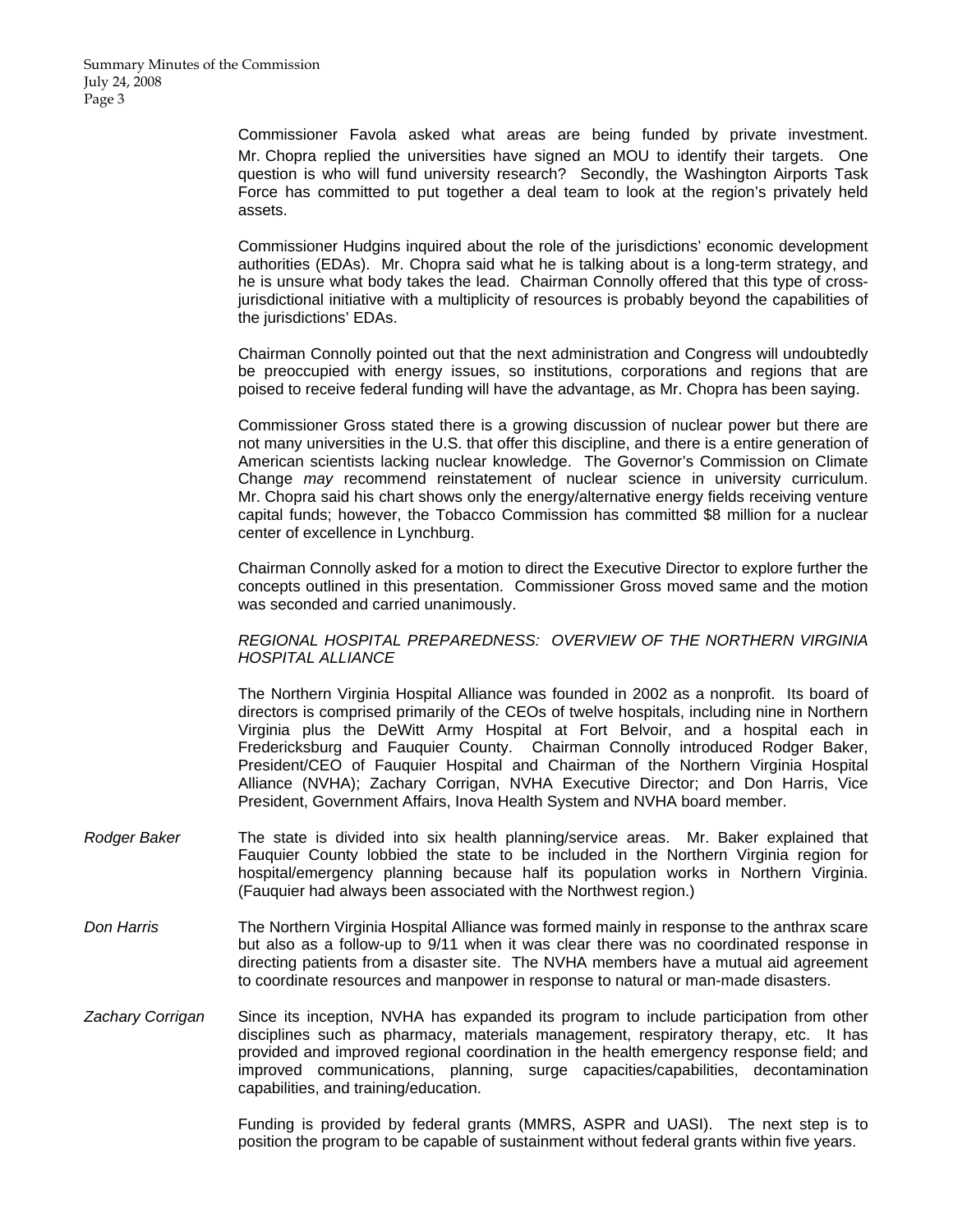Commissioner Favola asked what areas are being funded by private investment. Mr. Chopra replied the universities have signed an MOU to identify their targets. One question is who will fund university research? Secondly, the Washington Airports Task Force has committed to put together a deal team to look at the region's privately held assets.

Commissioner Hudgins inquired about the role of the jurisdictions' economic development authorities (EDAs). Mr. Chopra said what he is talking about is a long-term strategy, and he is unsure what body takes the lead. Chairman Connolly offered that this type of crossjurisdictional initiative with a multiplicity of resources is probably beyond the capabilities of the jurisdictions' EDAs.

Chairman Connolly pointed out that the next administration and Congress will undoubtedly be preoccupied with energy issues, so institutions, corporations and regions that are poised to receive federal funding will have the advantage, as Mr. Chopra has been saying.

Commissioner Gross stated there is a growing discussion of nuclear power but there are not many universities in the U.S. that offer this discipline, and there is a entire generation of American scientists lacking nuclear knowledge. The Governor's Commission on Climate Change *may* recommend reinstatement of nuclear science in university curriculum. Mr. Chopra said his chart shows only the energy/alternative energy fields receiving venture capital funds; however, the Tobacco Commission has committed \$8 million for a nuclear center of excellence in Lynchburg.

Chairman Connolly asked for a motion to direct the Executive Director to explore further the concepts outlined in this presentation. Commissioner Gross moved same and the motion was seconded and carried unanimously.

### *REGIONAL HOSPITAL PREPAREDNESS: OVERVIEW OF THE NORTHERN VIRGINIA HOSPITAL ALLIANCE*

The Northern Virginia Hospital Alliance was founded in 2002 as a nonprofit. Its board of directors is comprised primarily of the CEOs of twelve hospitals, including nine in Northern Virginia plus the DeWitt Army Hospital at Fort Belvoir, and a hospital each in Fredericksburg and Fauquier County. Chairman Connolly introduced Rodger Baker, President/CEO of Fauquier Hospital and Chairman of the Northern Virginia Hospital Alliance (NVHA); Zachary Corrigan, NVHA Executive Director; and Don Harris, Vice President, Government Affairs, Inova Health System and NVHA board member.

- *Rodger Baker* The state is divided into six health planning/service areas. Mr. Baker explained that Fauquier County lobbied the state to be included in the Northern Virginia region for hospital/emergency planning because half its population works in Northern Virginia. (Fauquier had always been associated with the Northwest region.)
- *Don Harris* The Northern Virginia Hospital Alliance was formed mainly in response to the anthrax scare but also as a follow-up to 9/11 when it was clear there was no coordinated response in directing patients from a disaster site. The NVHA members have a mutual aid agreement to coordinate resources and manpower in response to natural or man-made disasters.
- *Zachary Corrigan* Since its inception, NVHA has expanded its program to include participation from other disciplines such as pharmacy, materials management, respiratory therapy, etc. It has provided and improved regional coordination in the health emergency response field; and improved communications, planning, surge capacities/capabilities, decontamination capabilities, and training/education.

Funding is provided by federal grants (MMRS, ASPR and UASI). The next step is to position the program to be capable of sustainment without federal grants within five years.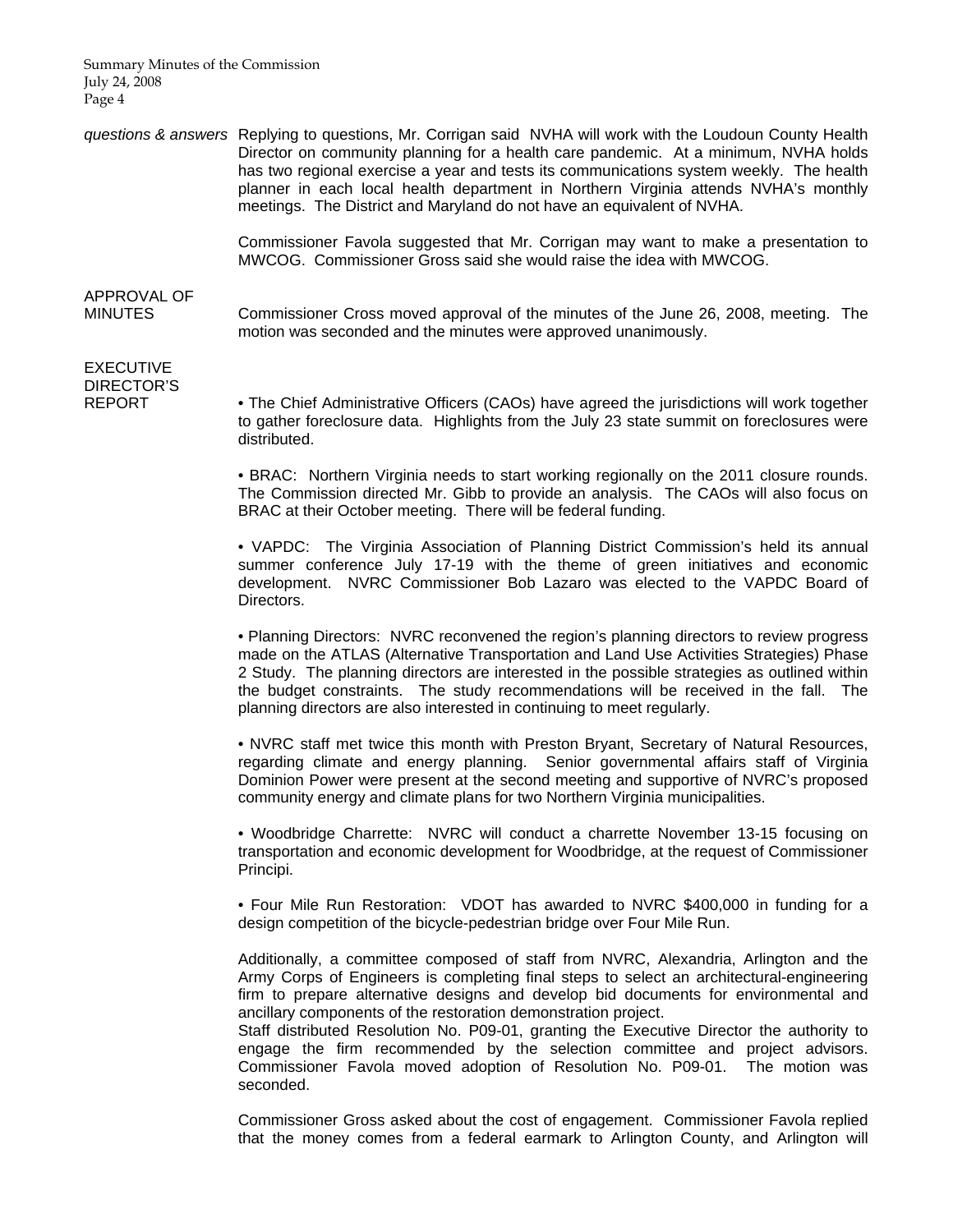Summary Minutes of the Commission July 24, 2008 Page 4

*questions & answers* Replying to questions, Mr. Corrigan said NVHA will work with the Loudoun County Health Director on community planning for a health care pandemic. At a minimum, NVHA holds has two regional exercise a year and tests its communications system weekly. The health planner in each local health department in Northern Virginia attends NVHA's monthly meetings. The District and Maryland do not have an equivalent of NVHA.

> Commissioner Favola suggested that Mr. Corrigan may want to make a presentation to MWCOG. Commissioner Gross said she would raise the idea with MWCOG.

# APPROVAL OF

MINUTES Commissioner Cross moved approval of the minutes of the June 26, 2008, meeting. The motion was seconded and the minutes were approved unanimously.

EXECUTIVE DIRECTOR'S

REPORT • The Chief Administrative Officers (CAOs) have agreed the jurisdictions will work together to gather foreclosure data. Highlights from the July 23 state summit on foreclosures were distributed.

> • BRAC: Northern Virginia needs to start working regionally on the 2011 closure rounds. The Commission directed Mr. Gibb to provide an analysis. The CAOs will also focus on BRAC at their October meeting. There will be federal funding.

> • VAPDC: The Virginia Association of Planning District Commission's held its annual summer conference July 17-19 with the theme of green initiatives and economic development. NVRC Commissioner Bob Lazaro was elected to the VAPDC Board of Directors.

> • Planning Directors: NVRC reconvened the region's planning directors to review progress made on the ATLAS (Alternative Transportation and Land Use Activities Strategies) Phase 2 Study. The planning directors are interested in the possible strategies as outlined within the budget constraints. The study recommendations will be received in the fall. The planning directors are also interested in continuing to meet regularly.

> • NVRC staff met twice this month with Preston Bryant, Secretary of Natural Resources, regarding climate and energy planning. Senior governmental affairs staff of Virginia Dominion Power were present at the second meeting and supportive of NVRC's proposed community energy and climate plans for two Northern Virginia municipalities.

> • Woodbridge Charrette: NVRC will conduct a charrette November 13-15 focusing on transportation and economic development for Woodbridge, at the request of Commissioner Principi.

> • Four Mile Run Restoration: VDOT has awarded to NVRC \$400,000 in funding for a design competition of the bicycle-pedestrian bridge over Four Mile Run.

> Additionally, a committee composed of staff from NVRC, Alexandria, Arlington and the Army Corps of Engineers is completing final steps to select an architectural-engineering firm to prepare alternative designs and develop bid documents for environmental and ancillary components of the restoration demonstration project.

> Staff distributed Resolution No. P09-01, granting the Executive Director the authority to engage the firm recommended by the selection committee and project advisors. Commissioner Favola moved adoption of Resolution No. P09-01. The motion was seconded.

> Commissioner Gross asked about the cost of engagement. Commissioner Favola replied that the money comes from a federal earmark to Arlington County, and Arlington will